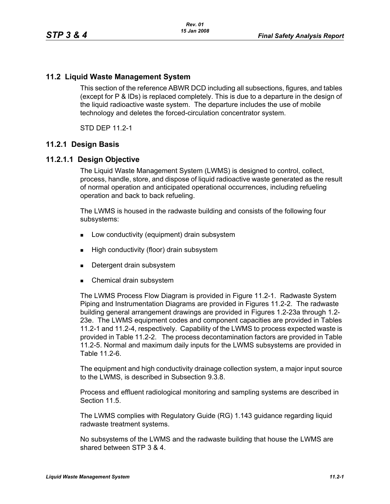### **11.2 Liquid Waste Management System**

This section of the reference ABWR DCD including all subsections, figures, and tables (except for P & IDs) is replaced completely. This is due to a departure in the design of the liquid radioactive waste system. The departure includes the use of mobile technology and deletes the forced-circulation concentrator system.

STD DEP 11.2-1

#### **11.2.1 Design Basis**

#### **11.2.1.1 Design Objective**

The Liquid Waste Management System (LWMS) is designed to control, collect, process, handle, store, and dispose of liquid radioactive waste generated as the result of normal operation and anticipated operational occurrences, including refueling operation and back to back refueling.

The LWMS is housed in the radwaste building and consists of the following four subsystems:

- **Low conductivity (equipment) drain subsystem**
- **High conductivity (floor) drain subsystem**
- Detergent drain subsystem
- **Chemical drain subsystem**

The LWMS Process Flow Diagram is provided in Figure 11.2-1. Radwaste System Piping and Instrumentation Diagrams are provided in Figures 11.2-2. The radwaste building general arrangement drawings are provided in Figures 1.2-23a through 1.2- 23e. The LWMS equipment codes and component capacities are provided in Tables 11.2-1 and 11.2-4, respectively. Capability of the LWMS to process expected waste is provided in Table 11.2-2. The process decontamination factors are provided in Table 11.2-5. Normal and maximum daily inputs for the LWMS subsystems are provided in Table 11.2-6.

The equipment and high conductivity drainage collection system, a major input source to the LWMS, is described in Subsection 9.3.8.

Process and effluent radiological monitoring and sampling systems are described in Section 11.5

The LWMS complies with Regulatory Guide (RG) 1.143 guidance regarding liquid radwaste treatment systems.

No subsystems of the LWMS and the radwaste building that house the LWMS are shared between STP 3 & 4.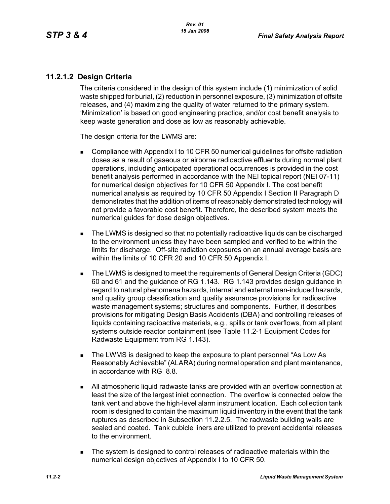# **11.2.1.2 Design Criteria**

The criteria considered in the design of this system include (1) minimization of solid waste shipped for burial, (2) reduction in personnel exposure, (3) minimization of offsite releases, and (4) maximizing the quality of water returned to the primary system. 'Minimization' is based on good engineering practice, and/or cost benefit analysis to keep waste generation and dose as low as reasonably achievable.

The design criteria for the LWMS are:

- Compliance with Appendix I to 10 CFR 50 numerical guidelines for offsite radiation doses as a result of gaseous or airborne radioactive effluents during normal plant operations, including anticipated operational occurrences is provided in the cost benefit analysis performed in accordance with the NEI topical report (NEI 07-11) for numerical design objectives for 10 CFR 50 Appendix I. The cost benefit numerical analysis as required by 10 CFR 50 Appendix I Section II Paragraph D demonstrates that the addition of items of reasonably demonstrated technology will not provide a favorable cost benefit. Therefore, the described system meets the numerical guides for dose design objectives.
- The LWMS is designed so that no potentially radioactive liquids can be discharged to the environment unless they have been sampled and verified to be within the limits for discharge. Off-site radiation exposures on an annual average basis are within the limits of 10 CFR 20 and 10 CFR 50 Appendix I.
- The LWMS is designed to meet the requirements of General Design Criteria (GDC) 60 and 61 and the guidance of RG 1.143. RG 1.143 provides design guidance in regard to natural phenomena hazards, internal and external man-induced hazards, and quality group classification and quality assurance provisions for radioactive waste management systems; structures and components. Further, it describes provisions for mitigating Design Basis Accidents (DBA) and controlling releases of liquids containing radioactive materials, e.g., spills or tank overflows, from all plant systems outside reactor containment (see Table 11.2-1 Equipment Codes for Radwaste Equipment from RG 1.143).
- The LWMS is designed to keep the exposure to plant personnel "As Low As Reasonably Achievable" (ALARA) during normal operation and plant maintenance, in accordance with RG 8.8.
- All atmospheric liquid radwaste tanks are provided with an overflow connection at least the size of the largest inlet connection. The overflow is connected below the tank vent and above the high-level alarm instrument location. Each collection tank room is designed to contain the maximum liquid inventory in the event that the tank ruptures as described in Subsection 11.2.2.5. The radwaste building walls are sealed and coated. Tank cubicle liners are utilized to prevent accidental releases to the environment.
- The system is designed to control releases of radioactive materials within the numerical design objectives of Appendix I to 10 CFR 50.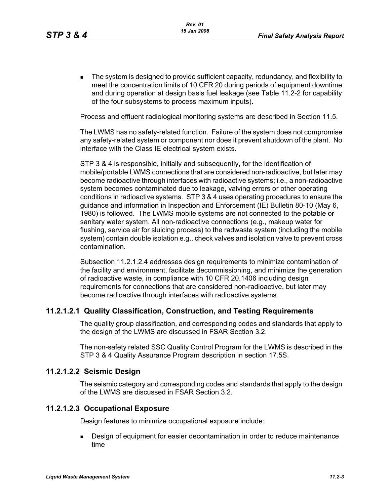**The system is designed to provide sufficient capacity, redundancy, and flexibility to** meet the concentration limits of 10 CFR 20 during periods of equipment downtime and during operation at design basis fuel leakage (see Table 11.2-2 for capability of the four subsystems to process maximum inputs).

Process and effluent radiological monitoring systems are described in Section 11.5.

The LWMS has no safety-related function. Failure of the system does not compromise any safety-related system or component nor does it prevent shutdown of the plant. No interface with the Class IE electrical system exists.

STP 3 & 4 is responsible, initially and subsequently, for the identification of mobile/portable LWMS connections that are considered non-radioactive, but later may become radioactive through interfaces with radioactive systems; i.e., a non-radioactive system becomes contaminated due to leakage, valving errors or other operating conditions in radioactive systems. STP 3 & 4 uses operating procedures to ensure the guidance and information in Inspection and Enforcement (IE) Bulletin 80-10 (May 6, 1980) is followed. The LWMS mobile systems are not connected to the potable or sanitary water system. All non-radioactive connections (e.g., makeup water for flushing, service air for sluicing process) to the radwaste system (including the mobile system) contain double isolation e.g., check valves and isolation valve to prevent cross contamination.

Subsection 11.2.1.2.4 addresses design requirements to minimize contamination of the facility and environment, facilitate decommissioning, and minimize the generation of radioactive waste, in compliance with 10 CFR 20.1406 including design requirements for connections that are considered non-radioactive, but later may become radioactive through interfaces with radioactive systems.

# **11.2.1.2.1 Quality Classification, Construction, and Testing Requirements**

The quality group classification, and corresponding codes and standards that apply to the design of the LWMS are discussed in FSAR Section 3.2.

The non-safety related SSC Quality Control Program for the LWMS is described in the STP 3 & 4 Quality Assurance Program description in section 17.5S.

#### **11.2.1.2.2 Seismic Design**

The seismic category and corresponding codes and standards that apply to the design of the LWMS are discussed in FSAR Section 3.2.

#### **11.2.1.2.3 Occupational Exposure**

Design features to minimize occupational exposure include:

**Design of equipment for easier decontamination in order to reduce maintenance** time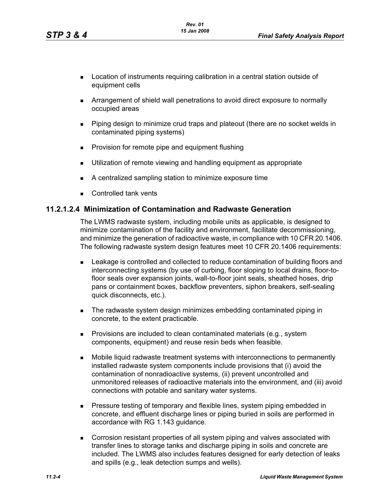- **Location of instruments requiring calibration in a central station outside of** equipment cells
- Arrangement of shield wall penetrations to avoid direct exposure to normally occupied areas
- Piping design to minimize crud traps and plateout (there are no socket welds in contaminated piping systems)
- **Provision for remote pipe and equipment flushing**
- Utilization of remote viewing and handling equipment as appropriate
- A centralized sampling station to minimize exposure time
- Controlled tank vents

# **11.2.1.2.4 Minimization of Contamination and Radwaste Generation**

The LWMS radwaste system, including mobile units as applicable, is designed to minimize contamination of the facility and environment, facilitate decommissioning, and minimize the generation of radioactive waste, in compliance with 10 CFR 20.1406. The following radwaste system design features meet 10 CFR 20.1406 requirements:

- **Example 1** Leakage is controlled and collected to reduce contamination of building floors and interconnecting systems (by use of curbing, floor sloping to local drains, floor-tofloor seals over expansion joints, wall-to-floor joint seals, sheathed hoses, drip pans or containment boxes, backflow preventers, siphon breakers, self-sealing quick disconnects, etc.).
- **The radwaste system design minimizes embedding contaminated piping in** concrete, to the extent practicable.
- **Provisions are included to clean contaminated materials (e.g., system** components, equipment) and reuse resin beds when feasible.
- Mobile liquid radwaste treatment systems with interconnections to permanently installed radwaste system components include provisions that (i) avoid the contamination of nonradioactive systems, (ii) prevent uncontrolled and unmonitored releases of radioactive materials into the environment, and (iii) avoid connections with potable and sanitary water systems.
- **Pressure testing of temporary and flexible lines, system piping embedded in** concrete, and effluent discharge lines or piping buried in soils are performed in accordance with RG 1.143 guidance.
- **Corrosion resistant properties of all system piping and valves associated with** transfer lines to storage tanks and discharge piping in soils and concrete are included. The LWMS also includes features designed for early detection of leaks and spills (e.g., leak detection sumps and wells).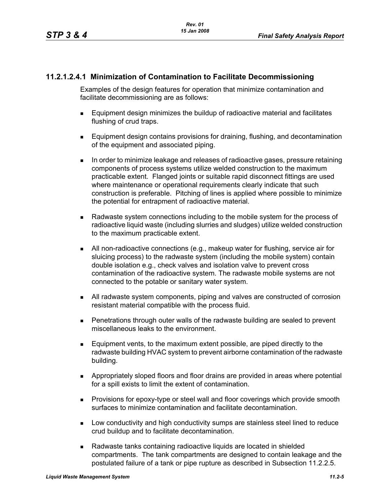# **11.2.1.2.4.1 Minimization of Contamination to Facilitate Decommissioning**

Examples of the design features for operation that minimize contamination and facilitate decommissioning are as follows:

- Equipment design minimizes the buildup of radioactive material and facilitates flushing of crud traps.
- **Equipment design contains provisions for draining, flushing, and decontamination** of the equipment and associated piping.
- In order to minimize leakage and releases of radioactive gases, pressure retaining components of process systems utilize welded construction to the maximum practicable extent. Flanged joints or suitable rapid disconnect fittings are used where maintenance or operational requirements clearly indicate that such construction is preferable. Pitching of lines is applied where possible to minimize the potential for entrapment of radioactive material.
- Radwaste system connections including to the mobile system for the process of radioactive liquid waste (including slurries and sludges) utilize welded construction to the maximum practicable extent.
- All non-radioactive connections (e.g., makeup water for flushing, service air for sluicing process) to the radwaste system (including the mobile system) contain double isolation e.g., check valves and isolation valve to prevent cross contamination of the radioactive system. The radwaste mobile systems are not connected to the potable or sanitary water system.
- All radwaste system components, piping and valves are constructed of corrosion resistant material compatible with the process fluid.
- Penetrations through outer walls of the radwaste building are sealed to prevent miscellaneous leaks to the environment.
- Equipment vents, to the maximum extent possible, are piped directly to the radwaste building HVAC system to prevent airborne contamination of the radwaste building.
- Appropriately sloped floors and floor drains are provided in areas where potential for a spill exists to limit the extent of contamination.
- **Provisions for epoxy-type or steel wall and floor coverings which provide smooth** surfaces to minimize contamination and facilitate decontamination.
- **Low conductivity and high conductivity sumps are stainless steel lined to reduce** crud buildup and to facilitate decontamination.
- Radwaste tanks containing radioactive liquids are located in shielded compartments. The tank compartments are designed to contain leakage and the postulated failure of a tank or pipe rupture as described in Subsection 11.2.2.5.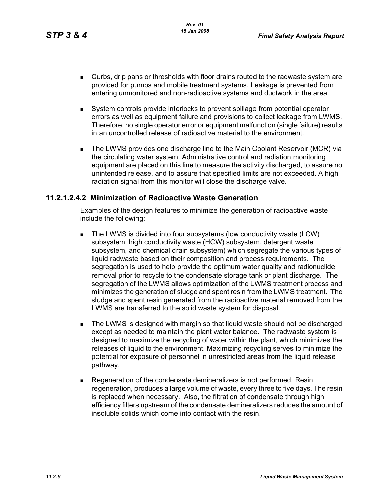- Curbs, drip pans or thresholds with floor drains routed to the radwaste system are provided for pumps and mobile treatment systems. Leakage is prevented from entering unmonitored and non-radioactive systems and ductwork in the area.
- System controls provide interlocks to prevent spillage from potential operator errors as well as equipment failure and provisions to collect leakage from LWMS. Therefore, no single operator error or equipment malfunction (single failure) results in an uncontrolled release of radioactive material to the environment.
- The LWMS provides one discharge line to the Main Coolant Reservoir (MCR) via the circulating water system. Administrative control and radiation monitoring equipment are placed on this line to measure the activity discharged, to assure no unintended release, and to assure that specified limits are not exceeded. A high radiation signal from this monitor will close the discharge valve.

### **11.2.1.2.4.2 Minimization of Radioactive Waste Generation**

Examples of the design features to minimize the generation of radioactive waste include the following:

- The LWMS is divided into four subsystems (low conductivity waste (LCW) subsystem, high conductivity waste (HCW) subsystem, detergent waste subsystem, and chemical drain subsystem) which segregate the various types of liquid radwaste based on their composition and process requirements. The segregation is used to help provide the optimum water quality and radionuclide removal prior to recycle to the condensate storage tank or plant discharge. The segregation of the LWMS allows optimization of the LWMS treatment process and minimizes the generation of sludge and spent resin from the LWMS treatment. The sludge and spent resin generated from the radioactive material removed from the LWMS are transferred to the solid waste system for disposal.
- **The LWMS is designed with margin so that liquid waste should not be discharged** except as needed to maintain the plant water balance. The radwaste system is designed to maximize the recycling of water within the plant, which minimizes the releases of liquid to the environment. Maximizing recycling serves to minimize the potential for exposure of personnel in unrestricted areas from the liquid release pathway.
- Regeneration of the condensate demineralizers is not performed. Resin regeneration, produces a large volume of waste, every three to five days. The resin is replaced when necessary. Also, the filtration of condensate through high efficiency filters upstream of the condensate demineralizers reduces the amount of insoluble solids which come into contact with the resin.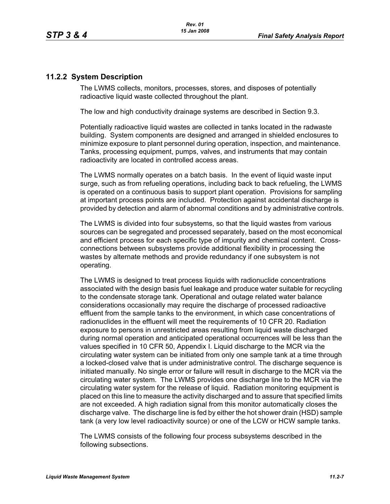# **11.2.2 System Description**

The LWMS collects, monitors, processes, stores, and disposes of potentially radioactive liquid waste collected throughout the plant.

The low and high conductivity drainage systems are described in Section 9.3.

Potentially radioactive liquid wastes are collected in tanks located in the radwaste building. System components are designed and arranged in shielded enclosures to minimize exposure to plant personnel during operation, inspection, and maintenance. Tanks, processing equipment, pumps, valves, and instruments that may contain radioactivity are located in controlled access areas.

The LWMS normally operates on a batch basis. In the event of liquid waste input surge, such as from refueling operations, including back to back refueling, the LWMS is operated on a continuous basis to support plant operation. Provisions for sampling at important process points are included. Protection against accidental discharge is provided by detection and alarm of abnormal conditions and by administrative controls.

The LWMS is divided into four subsystems, so that the liquid wastes from various sources can be segregated and processed separately, based on the most economical and efficient process for each specific type of impurity and chemical content. Crossconnections between subsystems provide additional flexibility in processing the wastes by alternate methods and provide redundancy if one subsystem is not operating.

The LWMS is designed to treat process liquids with radionuclide concentrations associated with the design basis fuel leakage and produce water suitable for recycling to the condensate storage tank. Operational and outage related water balance considerations occasionally may require the discharge of processed radioactive effluent from the sample tanks to the environment, in which case concentrations of radionuclides in the effluent will meet the requirements of 10 CFR 20. Radiation exposure to persons in unrestricted areas resulting from liquid waste discharged during normal operation and anticipated operational occurrences will be less than the values specified in 10 CFR 50, Appendix I. Liquid discharge to the MCR via the circulating water system can be initiated from only one sample tank at a time through a locked-closed valve that is under administrative control. The discharge sequence is initiated manually. No single error or failure will result in discharge to the MCR via the circulating water system. The LWMS provides one discharge line to the MCR via the circulating water system for the release of liquid. Radiation monitoring equipment is placed on this line to measure the activity discharged and to assure that specified limits are not exceeded. A high radiation signal from this monitor automatically closes the discharge valve. The discharge line is fed by either the hot shower drain (HSD) sample tank (a very low level radioactivity source) or one of the LCW or HCW sample tanks.

The LWMS consists of the following four process subsystems described in the following subsections.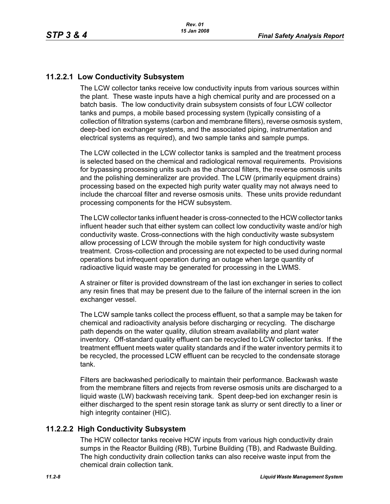# **11.2.2.1 Low Conductivity Subsystem**

The LCW collector tanks receive low conductivity inputs from various sources within the plant. These waste inputs have a high chemical purity and are processed on a batch basis. The low conductivity drain subsystem consists of four LCW collector tanks and pumps, a mobile based processing system (typically consisting of a collection of filtration systems (carbon and membrane filters), reverse osmosis system, deep-bed ion exchanger systems, and the associated piping, instrumentation and electrical systems as required), and two sample tanks and sample pumps.

The LCW collected in the LCW collector tanks is sampled and the treatment process is selected based on the chemical and radiological removal requirements. Provisions for bypassing processing units such as the charcoal filters, the reverse osmosis units and the polishing demineralizer are provided. The LCW (primarily equipment drains) processing based on the expected high purity water quality may not always need to include the charcoal filter and reverse osmosis units. These units provide redundant processing components for the HCW subsystem.

The LCW collector tanks influent header is cross-connected to the HCW collector tanks influent header such that either system can collect low conductivity waste and/or high conductivity waste. Cross-connections with the high conductivity waste subsystem allow processing of LCW through the mobile system for high conductivity waste treatment. Cross-collection and processing are not expected to be used during normal operations but infrequent operation during an outage when large quantity of radioactive liquid waste may be generated for processing in the LWMS.

A strainer or filter is provided downstream of the last ion exchanger in series to collect any resin fines that may be present due to the failure of the internal screen in the ion exchanger vessel.

The LCW sample tanks collect the process effluent, so that a sample may be taken for chemical and radioactivity analysis before discharging or recycling. The discharge path depends on the water quality, dilution stream availability and plant water inventory. Off-standard quality effluent can be recycled to LCW collector tanks. If the treatment effluent meets water quality standards and if the water inventory permits it to be recycled, the processed LCW effluent can be recycled to the condensate storage tank.

Filters are backwashed periodically to maintain their performance. Backwash waste from the membrane filters and rejects from reverse osmosis units are discharged to a liquid waste (LW) backwash receiving tank. Spent deep-bed ion exchanger resin is either discharged to the spent resin storage tank as slurry or sent directly to a liner or high integrity container (HIC).

# **11.2.2.2 High Conductivity Subsystem**

The HCW collector tanks receive HCW inputs from various high conductivity drain sumps in the Reactor Building (RB), Turbine Building (TB), and Radwaste Building. The high conductivity drain collection tanks can also receive waste input from the chemical drain collection tank.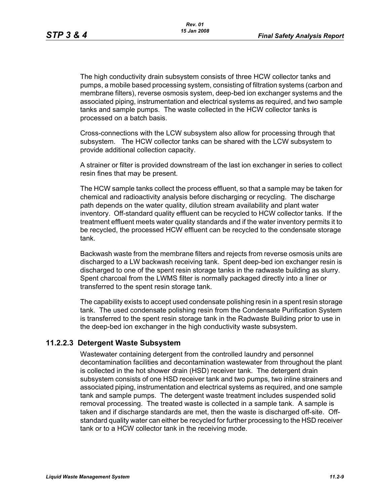The high conductivity drain subsystem consists of three HCW collector tanks and pumps, a mobile based processing system, consisting of filtration systems (carbon and membrane filters), reverse osmosis system, deep-bed ion exchanger systems and the associated piping, instrumentation and electrical systems as required, and two sample tanks and sample pumps. The waste collected in the HCW collector tanks is processed on a batch basis.

Cross-connections with the LCW subsystem also allow for processing through that subsystem. The HCW collector tanks can be shared with the LCW subsystem to provide additional collection capacity.

A strainer or filter is provided downstream of the last ion exchanger in series to collect resin fines that may be present.

The HCW sample tanks collect the process effluent, so that a sample may be taken for chemical and radioactivity analysis before discharging or recycling. The discharge path depends on the water quality, dilution stream availability and plant water inventory. Off-standard quality effluent can be recycled to HCW collector tanks. If the treatment effluent meets water quality standards and if the water inventory permits it to be recycled, the processed HCW effluent can be recycled to the condensate storage tank.

Backwash waste from the membrane filters and rejects from reverse osmosis units are discharged to a LW backwash receiving tank. Spent deep-bed ion exchanger resin is discharged to one of the spent resin storage tanks in the radwaste building as slurry. Spent charcoal from the LWMS filter is normally packaged directly into a liner or transferred to the spent resin storage tank.

The capability exists to accept used condensate polishing resin in a spent resin storage tank. The used condensate polishing resin from the Condensate Purification System is transferred to the spent resin storage tank in the Radwaste Building prior to use in the deep-bed ion exchanger in the high conductivity waste subsystem.

#### **11.2.2.3 Detergent Waste Subsystem**

Wastewater containing detergent from the controlled laundry and personnel decontamination facilities and decontamination wastewater from throughout the plant is collected in the hot shower drain (HSD) receiver tank. The detergent drain subsystem consists of one HSD receiver tank and two pumps, two inline strainers and associated piping, instrumentation and electrical systems as required, and one sample tank and sample pumps. The detergent waste treatment includes suspended solid removal processing. The treated waste is collected in a sample tank. A sample is taken and if discharge standards are met, then the waste is discharged off-site. Offstandard quality water can either be recycled for further processing to the HSD receiver tank or to a HCW collector tank in the receiving mode.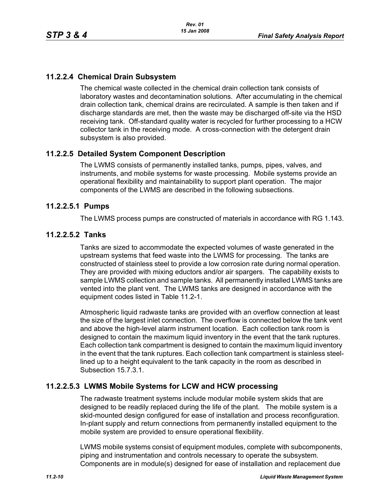# **11.2.2.4 Chemical Drain Subsystem**

The chemical waste collected in the chemical drain collection tank consists of laboratory wastes and decontamination solutions. After accumulating in the chemical drain collection tank, chemical drains are recirculated. A sample is then taken and if discharge standards are met, then the waste may be discharged off-site via the HSD receiving tank. Off-standard quality water is recycled for further processing to a HCW collector tank in the receiving mode. A cross-connection with the detergent drain subsystem is also provided.

# **11.2.2.5 Detailed System Component Description**

The LWMS consists of permanently installed tanks, pumps, pipes, valves, and instruments, and mobile systems for waste processing. Mobile systems provide an operational flexibility and maintainability to support plant operation. The major components of the LWMS are described in the following subsections.

### **11.2.2.5.1 Pumps**

The LWMS process pumps are constructed of materials in accordance with RG 1.143.

### **11.2.2.5.2 Tanks**

Tanks are sized to accommodate the expected volumes of waste generated in the upstream systems that feed waste into the LWMS for processing. The tanks are constructed of stainless steel to provide a low corrosion rate during normal operation. They are provided with mixing eductors and/or air spargers. The capability exists to sample LWMS collection and sample tanks. All permanently installed LWMS tanks are vented into the plant vent. The LWMS tanks are designed in accordance with the equipment codes listed in Table 11.2-1.

Atmospheric liquid radwaste tanks are provided with an overflow connection at least the size of the largest inlet connection. The overflow is connected below the tank vent and above the high-level alarm instrument location. Each collection tank room is designed to contain the maximum liquid inventory in the event that the tank ruptures. Each collection tank compartment is designed to contain the maximum liquid inventory in the event that the tank ruptures. Each collection tank compartment is stainless steellined up to a height equivalent to the tank capacity in the room as described in Subsection 15.7.3.1.

# **11.2.2.5.3 LWMS Mobile Systems for LCW and HCW processing**

The radwaste treatment systems include modular mobile system skids that are designed to be readily replaced during the life of the plant. The mobile system is a skid-mounted design configured for ease of installation and process reconfiguration. In-plant supply and return connections from permanently installed equipment to the mobile system are provided to ensure operational flexibility.

LWMS mobile systems consist of equipment modules, complete with subcomponents, piping and instrumentation and controls necessary to operate the subsystem. Components are in module(s) designed for ease of installation and replacement due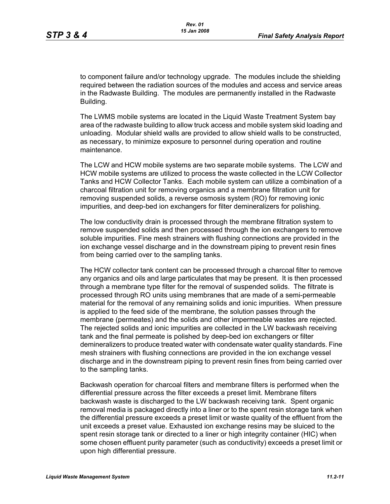to component failure and/or technology upgrade. The modules include the shielding required between the radiation sources of the modules and access and service areas in the Radwaste Building. The modules are permanently installed in the Radwaste Building.

The LWMS mobile systems are located in the Liquid Waste Treatment System bay area of the radwaste building to allow truck access and mobile system skid loading and unloading. Modular shield walls are provided to allow shield walls to be constructed, as necessary, to minimize exposure to personnel during operation and routine maintenance.

The LCW and HCW mobile systems are two separate mobile systems. The LCW and HCW mobile systems are utilized to process the waste collected in the LCW Collector Tanks and HCW Collector Tanks. Each mobile system can utilize a combination of a charcoal filtration unit for removing organics and a membrane filtration unit for removing suspended solids, a reverse osmosis system (RO) for removing ionic impurities, and deep-bed ion exchangers for filter demineralizers for polishing.

The low conductivity drain is processed through the membrane filtration system to remove suspended solids and then processed through the ion exchangers to remove soluble impurities. Fine mesh strainers with flushing connections are provided in the ion exchange vessel discharge and in the downstream piping to prevent resin fines from being carried over to the sampling tanks.

The HCW collector tank content can be processed through a charcoal filter to remove any organics and oils and large particulates that may be present. It is then processed through a membrane type filter for the removal of suspended solids. The filtrate is processed through RO units using membranes that are made of a semi-permeable material for the removal of any remaining solids and ionic impurities. When pressure is applied to the feed side of the membrane, the solution passes through the membrane (permeates) and the solids and other impermeable wastes are rejected. The rejected solids and ionic impurities are collected in the LW backwash receiving tank and the final permeate is polished by deep-bed ion exchangers or filter demineralizers to produce treated water with condensate water quality standards. Fine mesh strainers with flushing connections are provided in the ion exchange vessel discharge and in the downstream piping to prevent resin fines from being carried over to the sampling tanks.

Backwash operation for charcoal filters and membrane filters is performed when the differential pressure across the filter exceeds a preset limit. Membrane filters backwash waste is discharged to the LW backwash receiving tank. Spent organic removal media is packaged directly into a liner or to the spent resin storage tank when the differential pressure exceeds a preset limit or waste quality of the effluent from the unit exceeds a preset value. Exhausted ion exchange resins may be sluiced to the spent resin storage tank or directed to a liner or high integrity container (HIC) when some chosen effluent purity parameter (such as conductivity) exceeds a preset limit or upon high differential pressure.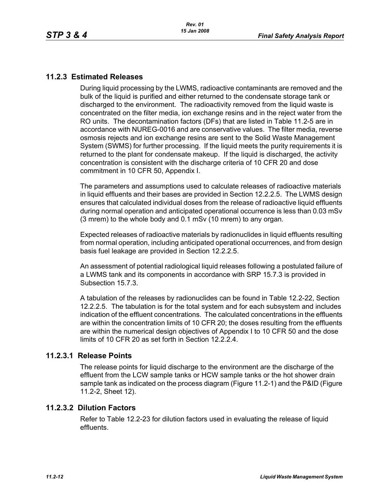# **11.2.3 Estimated Releases**

During liquid processing by the LWMS, radioactive contaminants are removed and the bulk of the liquid is purified and either returned to the condensate storage tank or discharged to the environment. The radioactivity removed from the liquid waste is concentrated on the filter media, ion exchange resins and in the reject water from the RO units. The decontamination factors (DFs) that are listed in Table 11.2-5 are in accordance with NUREG-0016 and are conservative values. The filter media, reverse osmosis rejects and ion exchange resins are sent to the Solid Waste Management System (SWMS) for further processing. If the liquid meets the purity requirements it is returned to the plant for condensate makeup. If the liquid is discharged, the activity concentration is consistent with the discharge criteria of 10 CFR 20 and dose commitment in 10 CFR 50, Appendix I.

The parameters and assumptions used to calculate releases of radioactive materials in liquid effluents and their bases are provided in Section 12.2.2.5. The LWMS design ensures that calculated individual doses from the release of radioactive liquid effluents during normal operation and anticipated operational occurrence is less than 0.03 mSv (3 mrem) to the whole body and 0.1 mSv (10 mrem) to any organ.

Expected releases of radioactive materials by radionuclides in liquid effluents resulting from normal operation, including anticipated operational occurrences, and from design basis fuel leakage are provided in Section 12.2.2.5.

An assessment of potential radiological liquid releases following a postulated failure of a LWMS tank and its components in accordance with SRP 15.7.3 is provided in Subsection 15.7.3.

A tabulation of the releases by radionuclides can be found in Table 12.2-22, Section 12.2.2.5. The tabulation is for the total system and for each subsystem and includes indication of the effluent concentrations. The calculated concentrations in the effluents are within the concentration limits of 10 CFR 20; the doses resulting from the effluents are within the numerical design objectives of Appendix I to 10 CFR 50 and the dose limits of 10 CFR 20 as set forth in Section 12.2.2.4.

#### **11.2.3.1 Release Points**

The release points for liquid discharge to the environment are the discharge of the effluent from the LCW sample tanks or HCW sample tanks or the hot shower drain sample tank as indicated on the process diagram (Figure 11.2-1) and the P&ID (Figure 11.2-2, Sheet 12).

#### **11.2.3.2 Dilution Factors**

Refer to Table 12.2-23 for dilution factors used in evaluating the release of liquid effluents.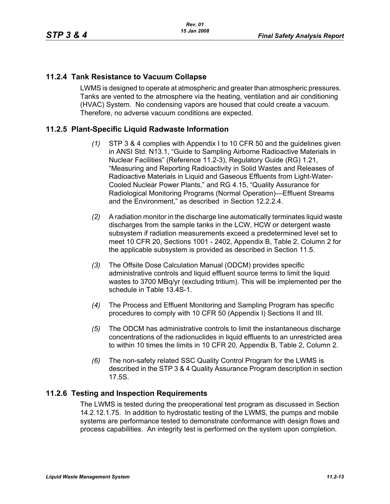# **11.2.4 Tank Resistance to Vacuum Collapse**

LWMS is designed to operate at atmospheric and greater than atmospheric pressures. Tanks are vented to the atmosphere via the heating, ventilation and air conditioning (HVAC) System. No condensing vapors are housed that could create a vacuum. Therefore, no adverse vacuum conditions are expected.

# **11.2.5 Plant-Specific Liquid Radwaste Information**

- *(1)* STP 3 & 4 complies with Appendix I to 10 CFR 50 and the guidelines given in ANSI Std. N13.1, "Guide to Sampling Airborne Radioactive Materials in Nuclear Facilities" (Reference 11.2-3), Regulatory Guide (RG) 1.21, "Measuring and Reporting Radioactivity in Solid Wastes and Releases of Radioactive Materials in Liquid and Gaseous Effluents from Light-Water-Cooled Nuclear Power Plants," and RG 4.15, "Quality Assurance for Radiological Monitoring Programs (Normal Operation)—Effluent Streams and the Environment," as described in Section 12.2.2.4.
- *(2)* A radiation monitor in the discharge line automatically terminates liquid waste discharges from the sample tanks in the LCW, HCW or detergent waste subsystem if radiation measurements exceed a predetermined level set to meet 10 CFR 20, Sections 1001 - 2402, Appendix B, Table 2, Column 2 for the applicable subsystem is provided as described in Section 11.5.
- *(3)* The Offsite Dose Calculation Manual (ODCM) provides specific administrative controls and liquid effluent source terms to limit the liquid wastes to 3700 MBq/yr (excluding tritium). This will be implemented per the schedule in Table 13.4S-1.
- *(4)* The Process and Effluent Monitoring and Sampling Program has specific procedures to comply with 10 CFR 50 (Appendix I) Sections II and III.
- *(5)* The ODCM has administrative controls to limit the instantaneous discharge concentrations of the radionuclides in liquid effluents to an unrestricted area to within 10 times the limits in 10 CFR 20, Appendix B, Table 2, Column 2.
- *(6)* The non-safety related SSC Quality Control Program for the LWMS is described in the STP 3 & 4 Quality Assurance Program description in section 17.5S.

# **11.2.6 Testing and Inspection Requirements**

The LWMS is tested during the preoperational test program as discussed in Section 14.2.12.1.75. In addition to hydrostatic testing of the LWMS, the pumps and mobile systems are performance tested to demonstrate conformance with design flows and process capabilities. An integrity test is performed on the system upon completion.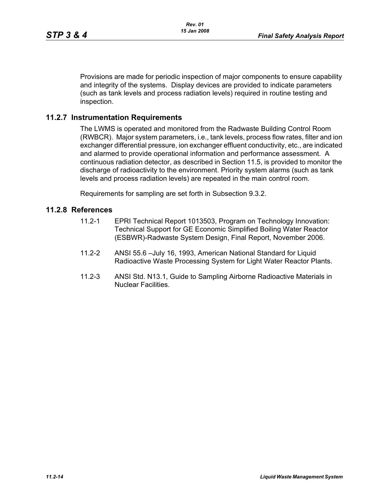Provisions are made for periodic inspection of major components to ensure capability and integrity of the systems. Display devices are provided to indicate parameters (such as tank levels and process radiation levels) required in routine testing and inspection.

# **11.2.7 Instrumentation Requirements**

The LWMS is operated and monitored from the Radwaste Building Control Room (RWBCR). Major system parameters, i.e., tank levels, process flow rates, filter and ion exchanger differential pressure, ion exchanger effluent conductivity, etc., are indicated and alarmed to provide operational information and performance assessment. A continuous radiation detector, as described in Section 11.5, is provided to monitor the discharge of radioactivity to the environment. Priority system alarms (such as tank levels and process radiation levels) are repeated in the main control room.

Requirements for sampling are set forth in Subsection 9.3.2.

#### **11.2.8 References**

- 11.2-1 EPRI Technical Report 1013503, Program on Technology Innovation: Technical Support for GE Economic Simplified Boiling Water Reactor (ESBWR)-Radwaste System Design, Final Report, November 2006.
- 11.2-2 ANSI 55.6 –July 16, 1993, American National Standard for Liquid Radioactive Waste Processing System for Light Water Reactor Plants.
- 11.2-3 ANSI Std. N13.1, Guide to Sampling Airborne Radioactive Materials in Nuclear Facilities.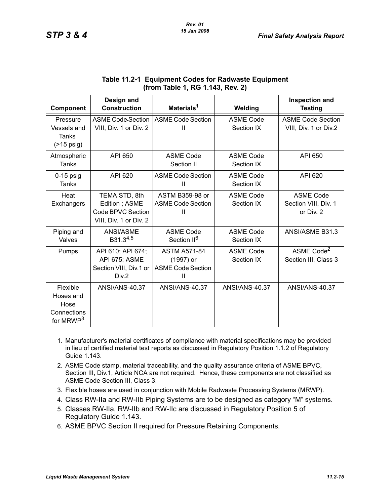| Component                                                             | Design and<br><b>Construction</b>                                             | Materials <sup>1</sup>                                                       | Welding                        | <b>Inspection and</b><br><b>Testing</b>               |
|-----------------------------------------------------------------------|-------------------------------------------------------------------------------|------------------------------------------------------------------------------|--------------------------------|-------------------------------------------------------|
| Pressure<br>Vessels and<br>Tanks<br>$($ >15 psig)                     | <b>ASME Code Section</b><br>VIII, Div. 1 or Div. 2                            | ASME Code Section<br>Ш                                                       | <b>ASME Code</b><br>Section IX | <b>ASME Code Section</b><br>VIII, Div. 1 or Div.2     |
| Atmospheric<br>Tanks                                                  | API 650                                                                       | <b>ASME Code</b><br>Section II                                               | <b>ASME Code</b><br>Section IX | API 650                                               |
| $0-15$ psig<br>Tanks                                                  | API 620                                                                       | <b>ASME Code Section</b><br>Ш                                                | <b>ASME Code</b><br>Section IX | API 620                                               |
| Heat<br>Exchangers                                                    | TEMA STD, 8th<br>Edition; ASME<br>Code BPVC Section<br>VIII, Div. 1 or Div. 2 | ASTM B359-98 or<br><b>ASME Code Section</b><br>Ш                             | <b>ASME Code</b><br>Section IX | <b>ASME Code</b><br>Section VIII, Div. 1<br>or Div. 2 |
| Piping and<br>Valves                                                  | ANSI/ASME<br>B31.34,5                                                         | <b>ASME Code</b><br>Section II <sup>6</sup>                                  | <b>ASME Code</b><br>Section IX | ANSI/ASME B31.3                                       |
| Pumps                                                                 | API 610; API 674;<br>API 675; ASME<br>Section VIII, Div.1 or<br>Div.2         | <b>ASTM A571-84</b><br>(1997) or<br><b>ASME Code Section</b><br>$\mathbf{H}$ | <b>ASME Code</b><br>Section IX | ASME Code <sup>2</sup><br>Section III, Class 3        |
| Flexible<br>Hoses and<br>Hose<br>Connections<br>for MRWP <sup>3</sup> | <b>ANSI/ANS-40.37</b>                                                         | <b>ANSI/ANS-40.37</b>                                                        | <b>ANSI/ANS-40.37</b>          | <b>ANSI/ANS-40.37</b>                                 |

# **Table 11.2-1 Equipment Codes for Radwaste Equipment (from Table 1, RG 1.143, Rev. 2)**

- 1. Manufacturer's material certificates of compliance with material specifications may be provided in lieu of certified material test reports as discussed in Regulatory Position 1.1.2 of Regulatory Guide 1.143.
- 2. ASME Code stamp, material traceability, and the quality assurance criteria of ASME BPVC, Section III, Div.1, Article NCA are not required. Hence, these components are not classified as ASME Code Section III, Class 3.
- 3. Flexible hoses are used in conjunction with Mobile Radwaste Processing Systems (MRWP).
- 4. Class RW-IIa and RW-IIb Piping Systems are to be designed as category "M" systems.
- 5. Classes RW-IIa, RW-IIb and RW-IIc are discussed in Regulatory Position 5 of Regulatory Guide 1.143.
- 6. ASME BPVC Section II required for Pressure Retaining Components.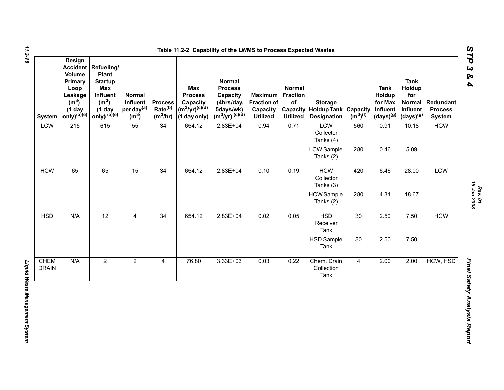| <b>System</b>               | Design<br><b>Volume</b><br>Primary<br>Loop<br>Leakage<br>(m <sup>3</sup> )<br>$(1$ day<br>only) <sup>(a)(e)</sup> | <b>Accident Refueling/</b><br>Plant<br><b>Startup</b><br><b>Max</b><br>Influent<br>(m <sup>3</sup> )<br>$(1$ day<br>only) $(a)(e)$ | Normal<br>Influent<br>per day <sup>(a)</sup><br>(m <sup>3</sup> ) | <b>Process</b><br>Rate <sup>(b)</sup><br>$(m^3/hr)$ | Max<br><b>Process</b><br>Capacity<br>$(m^3/yr)^{(c)(d)}$<br>(1 day only) | <b>Normal</b><br><b>Process</b><br>Capacity<br>(4hrs/day,<br>5days/wk)<br>$(m^3/yr)^{(c)(d)}$ | <b>Maximum</b><br><b>Fraction of</b><br>Capacity<br><b>Utilized</b> | Normal<br><b>Fraction</b><br>of<br><b>Utilized</b> | <b>Storage</b><br><b>Capacity   Holdup Tank   Capacity</b><br><b>Designation</b> | $(m^3)$ <sup>(f)</sup> | <b>Tank</b><br>Holdup<br>for Max<br>Influent<br>$(days)^{(g)}$ | <b>Tank</b><br>Holdup<br>for<br><b>Normal</b><br>Influent<br>$(days)^{(g)}$ | Redundant<br><b>Process</b><br><b>System</b> |
|-----------------------------|-------------------------------------------------------------------------------------------------------------------|------------------------------------------------------------------------------------------------------------------------------------|-------------------------------------------------------------------|-----------------------------------------------------|--------------------------------------------------------------------------|-----------------------------------------------------------------------------------------------|---------------------------------------------------------------------|----------------------------------------------------|----------------------------------------------------------------------------------|------------------------|----------------------------------------------------------------|-----------------------------------------------------------------------------|----------------------------------------------|
| LCW                         | 215                                                                                                               | 615                                                                                                                                | 55                                                                | 34                                                  | 654.12                                                                   | $2.83E + 04$                                                                                  | 0.94                                                                | 0.71                                               | LCW<br>Collector<br>Tanks (4)                                                    | 560                    | 0.91                                                           | 10.18                                                                       | <b>HCW</b>                                   |
|                             |                                                                                                                   |                                                                                                                                    |                                                                   |                                                     |                                                                          |                                                                                               |                                                                     |                                                    | <b>LCW</b> Sample<br>Tanks (2)                                                   | 280                    | 0.46                                                           | 5.09                                                                        |                                              |
| <b>HCW</b>                  | 65                                                                                                                | 65                                                                                                                                 | 15                                                                | 34                                                  | 654.12                                                                   | $2.83E+04$                                                                                    | 0.10                                                                | 0.19                                               | <b>HCW</b><br>Collector<br>Tanks (3)                                             | 420                    | 6.46                                                           | 28.00                                                                       | LCW                                          |
|                             |                                                                                                                   |                                                                                                                                    |                                                                   |                                                     |                                                                          |                                                                                               |                                                                     |                                                    | <b>HCW</b> Sample<br>Tanks (2)                                                   | 280                    | 4.31                                                           | 18.67                                                                       |                                              |
| <b>HSD</b>                  | N/A                                                                                                               | $\overline{12}$                                                                                                                    | $\overline{4}$                                                    | $\overline{34}$                                     | 654.12                                                                   | $2.83E + 04$                                                                                  | 0.02                                                                | 0.05                                               | <b>HSD</b><br>Receiver<br>Tank                                                   | $\overline{30}$        | 2.50                                                           | 7.50                                                                        | <b>HCW</b>                                   |
|                             |                                                                                                                   |                                                                                                                                    |                                                                   |                                                     |                                                                          |                                                                                               |                                                                     |                                                    | <b>HSD Sample</b><br>Tank                                                        | 30                     | 2.50                                                           | 7.50                                                                        |                                              |
| <b>CHEM</b><br><b>DRAIN</b> | N/A                                                                                                               | $\overline{2}$                                                                                                                     | $\overline{2}$                                                    | $\overline{\mathbf{4}}$                             | 76.80                                                                    | $3.33E + 03$                                                                                  | 0.03                                                                | 0.22                                               | Chem. Drain<br>Collection<br>Tank                                                | $\overline{4}$         | 2.00                                                           | 2.00                                                                        | HCW, HSD                                     |

*11.2-16*

*Rev. 01*<br>15 Jan 2008 *15 Jan 2008*

*STP 3 & 4*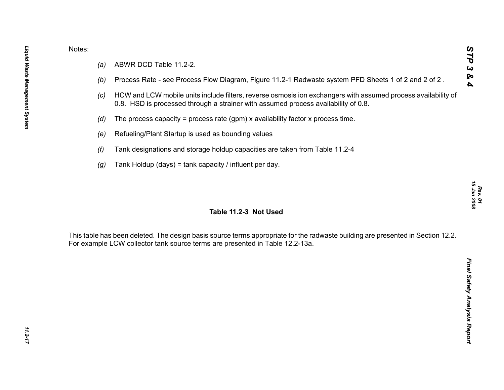- 
- 
- 
- 
- 
- 
- 

Notes:<br>
(a) ABWR DCD Table 11.2-2.<br>
(b) Process Rate - see Process Flow Diagram, Figure 11.2-1 Radwaste system PFD Sheets 1 of 2 and 2 of 2.<br>
(c) HCW and LCW mobile units include filters, reverse osmosis ion exchangers wit

*STP 3 & 4*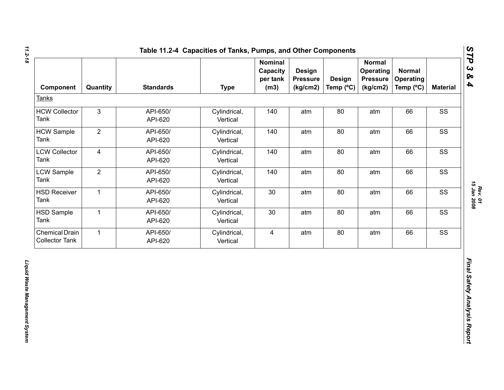| Component                                      | Quantity       | <b>Standards</b>    | <b>Type</b>              | <b>Nominal</b><br>Capacity<br>per tank<br>(m3) | <b>Design</b><br><b>Pressure</b><br>(kg/cm2) | <b>Design</b><br>Temp (°C) | <b>Normal</b><br><b>Operating</b><br><b>Pressure</b><br>(kg/cm2) | <b>Normal</b><br><b>Operating</b><br>Temp (°C) | <b>Material</b> |
|------------------------------------------------|----------------|---------------------|--------------------------|------------------------------------------------|----------------------------------------------|----------------------------|------------------------------------------------------------------|------------------------------------------------|-----------------|
| <b>Tanks</b>                                   |                |                     |                          |                                                |                                              |                            |                                                                  |                                                |                 |
| <b>HCW Collector</b><br>Tank                   | $\mathbf{3}$   | API-650/<br>API-620 | Cylindrical,<br>Vertical | 140                                            | atm                                          | 80                         | atm                                                              | 66                                             | SS              |
| <b>HCW Sample</b><br>Tank                      | $\overline{2}$ | API-650/<br>API-620 | Cylindrical,<br>Vertical | 140                                            | atm                                          | 80                         | atm                                                              | 66                                             | SS              |
| <b>LCW Collector</b><br>Tank                   | $\overline{4}$ | API-650/<br>API-620 | Cylindrical,<br>Vertical | 140                                            | atm                                          | 80                         | atm                                                              | 66                                             | SS              |
| <b>LCW Sample</b><br>Tank                      | $\overline{2}$ | API-650/<br>API-620 | Cylindrical,<br>Vertical | 140                                            | atm                                          | 80                         | atm                                                              | 66                                             | SS              |
| <b>HSD Receiver</b><br>Tank                    | $\mathbf{1}$   | API-650/<br>API-620 | Cylindrical,<br>Vertical | 30                                             | atm                                          | 80                         | atm                                                              | 66                                             | SS              |
| <b>HSD Sample</b><br>Tank                      | $\mathbf{1}$   | API-650/<br>API-620 | Cylindrical,<br>Vertical | 30                                             | atm                                          | 80                         | atm                                                              | 66                                             | SS              |
| <b>Chemical Drain</b><br><b>Collector Tank</b> | $\mathbf{1}$   | API-650/<br>API-620 | Cylindrical,<br>Vertical | $\overline{4}$                                 | atm                                          | 80                         | atm                                                              | 66                                             | SS              |
|                                                |                |                     |                          |                                                |                                              |                            |                                                                  |                                                |                 |

*STP 3 & 4*

*Rev. 01*<br>15 Jan 2008 *15 Jan 2008*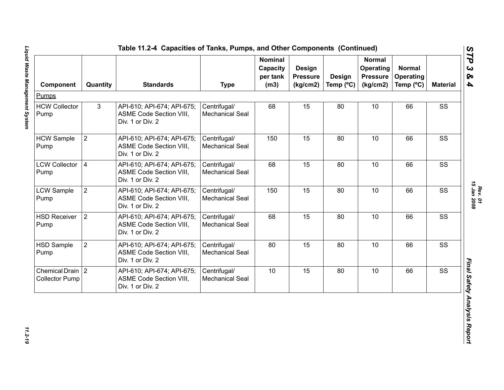| Component                                     | Quantity       | <b>Standards</b>                                                                 | <b>Type</b>                            | <b>Nominal</b><br>Capacity<br>per tank<br>(m3) | Design<br><b>Pressure</b><br>(kg/cm2) | Design<br>Temp (°C) | <b>Normal</b><br>Operating<br><b>Pressure</b><br>(kg/cm2) | <b>Normal</b><br>Operating<br>Temp (°C) | <b>Material</b> |
|-----------------------------------------------|----------------|----------------------------------------------------------------------------------|----------------------------------------|------------------------------------------------|---------------------------------------|---------------------|-----------------------------------------------------------|-----------------------------------------|-----------------|
| Pumps                                         |                |                                                                                  |                                        |                                                |                                       |                     |                                                           |                                         |                 |
| <b>HCW Collector</b><br>Pump                  | 3              | API-610; API-674; API-675;<br>ASME Code Section VIII,<br>Div. 1 or Div. 2        | Centrifugal/<br><b>Mechanical Seal</b> | 68                                             | 15                                    | 80                  | 10                                                        | 66                                      | SS              |
| <b>HCW Sample</b><br>Pump                     | $\overline{2}$ | API-610; API-674; API-675;<br>ASME Code Section VIII,<br>Div. 1 or Div. 2        | Centrifugal/<br><b>Mechanical Seal</b> | 150                                            | 15                                    | 80                  | 10                                                        | 66                                      | SS              |
| <b>LCW Collector</b><br>Pump                  | $\overline{4}$ | API-610; API-674; API-675;<br>ASME Code Section VIII,<br>Div. 1 or Div. 2        | Centrifugal/<br><b>Mechanical Seal</b> | 68                                             | 15                                    | 80                  | 10                                                        | 66                                      | SS              |
| LCW Sample<br>Pump                            | $\overline{2}$ | API-610; API-674; API-675;<br>ASME Code Section VIII,<br>Div. 1 or Div. 2        | Centrifugal/<br><b>Mechanical Seal</b> | 150                                            | 15                                    | 80                  | 10                                                        | 66                                      | SS              |
| <b>HSD Receiver</b><br>Pump                   | $\overline{2}$ | API-610; API-674; API-675;<br><b>ASME Code Section VIII,</b><br>Div. 1 or Div. 2 | Centrifugal/<br><b>Mechanical Seal</b> | 68                                             | 15                                    | 80                  | 10                                                        | 66                                      | SS              |
| HSD Sample<br>Pump                            | $\overline{2}$ | API-610; API-674; API-675;<br>ASME Code Section VIII,<br>Div. 1 or Div. 2        | Centrifugal/<br><b>Mechanical Seal</b> | 80                                             | 15                                    | 80                  | 10                                                        | 66                                      | SS              |
| Chemical Drain $ 2 $<br><b>Collector Pump</b> |                | API-610; API-674; API-675;<br>ASME Code Section VIII,<br>Div. 1 or Div. 2        | Centrifugal/<br><b>Mechanical Seal</b> | 10                                             | 15                                    | 80                  | 10                                                        | 66                                      | SS              |

*Rev. 01*<br>15 Jan 2008 *15 Jan 2008*

11.2-19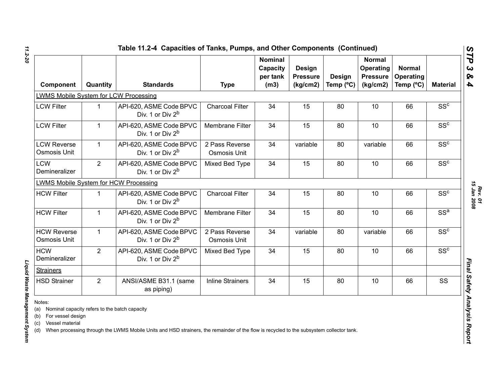| Quantity       | <b>Standards</b>                                        |                                                                                       | <b>Nominal</b><br>Capacity<br>per tank<br>(m3) | Design<br><b>Pressure</b><br>(kg/cm2) | <b>Design</b> | <b>Normal</b><br>Operating<br><b>Pressure</b><br>(kg/cm2) | <b>Normal</b><br>Operating<br>Temp (°C) | <b>Material</b> |
|----------------|---------------------------------------------------------|---------------------------------------------------------------------------------------|------------------------------------------------|---------------------------------------|---------------|-----------------------------------------------------------|-----------------------------------------|-----------------|
|                |                                                         |                                                                                       |                                                |                                       |               |                                                           |                                         |                 |
| 1              | API-620, ASME Code BPVC<br>Div. 1 or Div $2^b$          | <b>Charcoal Filter</b>                                                                | 34                                             | 15                                    | 80            | 10                                                        | 66                                      | SS <sup>c</sup> |
| $\mathbf{1}$   | API-620, ASME Code BPVC<br>Div. 1 or Div $2^b$          | <b>Membrane Filter</b>                                                                | 34                                             | 15                                    | 80            | 10                                                        | 66                                      | SS <sup>c</sup> |
| $\mathbf{1}$   | API-620, ASME Code BPVC<br>Div. 1 or Div $2^b$          | 2 Pass Reverse<br>Osmosis Unit                                                        | 34                                             | variable                              | 80            | variable                                                  | 66                                      | SS <sup>c</sup> |
| $\overline{2}$ | API-620, ASME Code BPVC<br>Div. 1 or Div 2 <sup>b</sup> | Mixed Bed Type                                                                        | 34                                             | 15                                    | 80            | 10                                                        | 66                                      | SS <sup>c</sup> |
|                |                                                         |                                                                                       |                                                |                                       |               |                                                           |                                         |                 |
| 1              | API-620, ASME Code BPVC<br>Div. 1 or Div $2^b$          | <b>Charcoal Filter</b>                                                                | 34                                             | 15                                    | 80            | 10                                                        | 66                                      | SS <sup>c</sup> |
| $\mathbf{1}$   | API-620, ASME Code BPVC<br>Div. 1 or Div $2^b$          | Membrane Filter                                                                       | 34                                             | 15                                    | 80            | 10                                                        | 66                                      | SS <sup>a</sup> |
| $\mathbf{1}$   | API-620, ASME Code BPVC<br>Div. 1 or Div 2 <sup>b</sup> | 2 Pass Reverse<br>Osmosis Unit                                                        | 34                                             | variable                              | 80            | variable                                                  | 66                                      | SS <sup>c</sup> |
| $\overline{2}$ | API-620, ASME Code BPVC<br>Div. 1 or Div 2 <sup>b</sup> | Mixed Bed Type                                                                        | 34                                             | 15                                    | 80            | 10                                                        | 66                                      | SS <sup>c</sup> |
|                |                                                         |                                                                                       |                                                |                                       |               |                                                           |                                         |                 |
| $\overline{2}$ | ANSI/ASME B31.1 (same<br>as piping)                     | <b>Inline Strainers</b>                                                               | 34                                             | 15                                    | 80            | 10                                                        | 66                                      | SS              |
|                |                                                         | LWMS Mobile System for LCW Processing<br><b>LWMS Mobile System for HCW Processing</b> | <b>Type</b>                                    |                                       |               | Temp (°C)                                                 |                                         |                 |

Liquid Waste Management System

*Liquid Waste Management System* 

*11.2-20*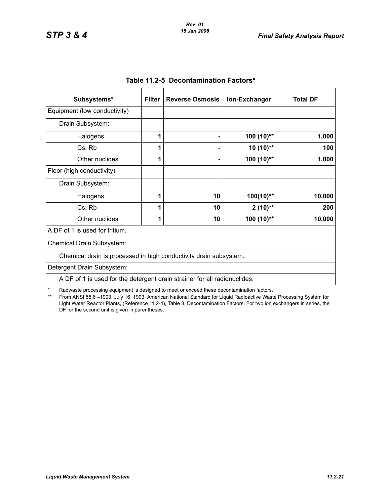| Subsystems*                                                               | <b>Filter</b> | <b>Reverse Osmosis</b> | Ion-Exchanger | <b>Total DF</b> |
|---------------------------------------------------------------------------|---------------|------------------------|---------------|-----------------|
| Equipment (low conductivity)                                              |               |                        |               |                 |
| Drain Subsystem:                                                          |               |                        |               |                 |
| Halogens                                                                  | 1             |                        | 100 (10)**    | 1,000           |
| Cs, Rb                                                                    |               |                        | $10(10)$ **   | 100             |
| Other nuclides                                                            | 1             |                        | 100 (10)**    | 1,000           |
| Floor (high conductivity)                                                 |               |                        |               |                 |
| Drain Subsystem:                                                          |               |                        |               |                 |
| Halogens                                                                  |               | 10                     | $100(10)$ **  | 10,000          |
| Cs, Rb                                                                    | 1             | 10                     | $2(10)$ **    | 200             |
| Other nuclides                                                            | 1             | 10                     | 100 (10)**    | 10,000          |
| A DF of 1 is used for tritium.                                            |               |                        |               |                 |
| Chemical Drain Subsystem:                                                 |               |                        |               |                 |
| Chemical drain is processed in high conductivity drain subsystem.         |               |                        |               |                 |
| Detergent Drain Subsystem:                                                |               |                        |               |                 |
| A DF of 1 is used for the detergent drain strainer for all radionuclides. |               |                        |               |                 |

\* Radwaste processing equipment is designed to meet or exceed these decontamination factors.<br>\*\* From ANSL55.6–1993 July 16, 1993. American National Standard for Liquid Radioactive Wast

From ANSI 55.6 -1993, July 16, 1993, American National Standard for Liquid Radioactive Waste Processing System for Light Water Reactor Plants, (Reference 11.2-4), Table 8, Decontamination Factors. For two ion exchangers in series, the DF for the second unit is given in parentheses.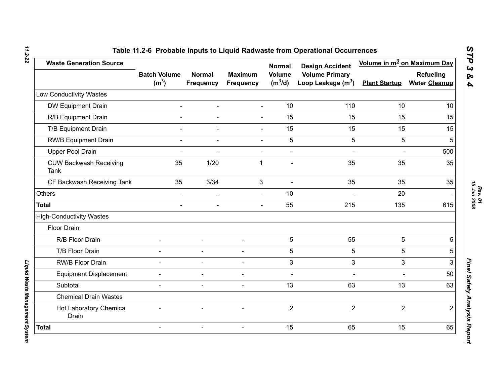| <b>Waste Generation Source</b>               |                                          |                                   |                                    | <b>Normal</b>              | <b>Design Accident</b>                        | Volume in m <sup>3</sup> on Maximum Day |                                   |
|----------------------------------------------|------------------------------------------|-----------------------------------|------------------------------------|----------------------------|-----------------------------------------------|-----------------------------------------|-----------------------------------|
|                                              | <b>Batch Volume</b><br>(m <sup>3</sup> ) | <b>Normal</b><br><b>Frequency</b> | <b>Maximum</b><br><b>Frequency</b> | <b>Volume</b><br>$(m^3/d)$ | <b>Volume Primary</b><br>Loop Leakage $(m^3)$ | <b>Plant Startup</b>                    | Refueling<br><b>Water Cleanup</b> |
| Low Conductivity Wastes                      |                                          |                                   |                                    |                            |                                               |                                         |                                   |
| DW Equipment Drain                           | $\blacksquare$                           | $\blacksquare$                    | $\blacksquare$                     | 10                         | 110                                           | 10                                      | 10                                |
| R/B Equipment Drain                          |                                          | $\overline{\phantom{a}}$          | $\blacksquare$                     | 15                         | 15                                            | 15                                      | 15                                |
| T/B Equipment Drain                          | $\blacksquare$                           | $\blacksquare$                    | $\Delta$                           | 15                         | 15                                            | 15                                      | 15                                |
| <b>RW/B Equipment Drain</b>                  |                                          |                                   |                                    | 5                          | 5                                             | 5                                       | 5                                 |
| Upper Pool Drain                             |                                          |                                   |                                    | $\overline{a}$             |                                               | ÷.                                      | 500                               |
| <b>CUW Backwash Receiving</b><br><b>Tank</b> | 35                                       | 1/20                              | 1                                  |                            | 35                                            | 35                                      | 35                                |
| CF Backwash Receiving Tank                   | 35                                       | 3/34                              | 3                                  |                            | 35                                            | 35                                      | 35                                |
| <b>Others</b>                                | $\blacksquare$                           | $\blacksquare$                    | $\blacksquare$                     | 10                         |                                               | 20                                      |                                   |
| <b>Total</b>                                 |                                          |                                   |                                    | 55                         | 215                                           | 135                                     | 615                               |
| <b>High-Conductivity Wastes</b>              |                                          |                                   |                                    |                            |                                               |                                         |                                   |
| Floor Drain                                  |                                          |                                   |                                    |                            |                                               |                                         |                                   |
| R/B Floor Drain                              | $\blacksquare$                           | $\blacksquare$                    | $\blacksquare$                     | 5                          | 55                                            | 5                                       | 5                                 |
| T/B Floor Drain                              | $\blacksquare$                           | $\overline{\phantom{0}}$          |                                    | 5                          | 5                                             | 5                                       | 5                                 |
| RW/B Floor Drain                             | $\blacksquare$                           | $\overline{\phantom{0}}$          |                                    | 3                          | 3                                             | 3                                       | 3                                 |
| <b>Equipment Displacement</b>                |                                          | $\blacksquare$                    |                                    | $\overline{a}$             |                                               |                                         | 50                                |
| Subtotal                                     | $\blacksquare$                           | $\overline{a}$                    |                                    | 13                         | 63                                            | 13                                      | 63                                |
| <b>Chemical Drain Wastes</b>                 |                                          |                                   |                                    |                            |                                               |                                         |                                   |
| Hot Laboratory Chemical<br>Drain             |                                          |                                   |                                    | $\overline{2}$             | $\overline{2}$                                | $\overline{2}$                          | $\overline{2}$                    |
| <b>Total</b>                                 | $\blacksquare$                           | $\blacksquare$                    | $\blacksquare$                     | 15                         | 65                                            | 15                                      | 65                                |

*11.2-22*

*Liquid Waste Management System* 

Liquid Waste Management System

*STP 3 & 4*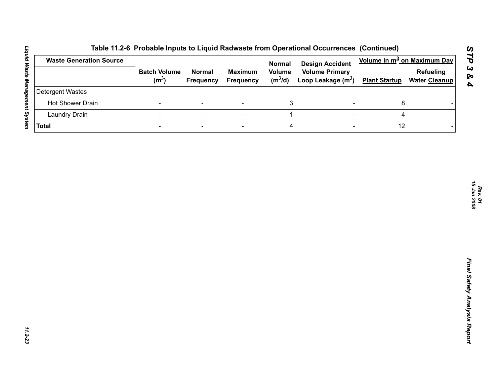| <b>Waste Generation Source</b> |                                          |                                   |                                    | <b>Normal</b>              | <b>Design Accident</b>                        | Volume in m <sup>3</sup> on Maximum Day |                                          |  |
|--------------------------------|------------------------------------------|-----------------------------------|------------------------------------|----------------------------|-----------------------------------------------|-----------------------------------------|------------------------------------------|--|
|                                | <b>Batch Volume</b><br>(m <sup>3</sup> ) | <b>Normal</b><br><b>Frequency</b> | <b>Maximum</b><br><b>Frequency</b> | <b>Volume</b><br>$(m^3/d)$ | <b>Volume Primary</b><br>Loop Leakage $(m^3)$ | <b>Plant Startup</b>                    | <b>Refueling</b><br><b>Water Cleanup</b> |  |
| Detergent Wastes               |                                          |                                   |                                    |                            |                                               |                                         |                                          |  |
| Hot Shower Drain               | $\blacksquare$                           | $\overline{\phantom{a}}$          | $\blacksquare$                     | $\ensuremath{\mathsf{3}}$  | $\overline{\phantom{a}}$                      | 8                                       |                                          |  |
| <b>Laundry Drain</b>           | $\blacksquare$                           | $\blacksquare$                    | $\blacksquare$                     | $\mathbf{1}$               | $\overline{\phantom{a}}$                      | 4                                       |                                          |  |
| <b>Total</b>                   | $\blacksquare$                           | $\overline{\phantom{a}}$          | $\blacksquare$                     | $\overline{\mathbf{4}}$    | $\overline{\phantom{a}}$                      | 12                                      |                                          |  |
|                                |                                          |                                   |                                    |                            |                                               |                                         |                                          |  |
|                                |                                          |                                   |                                    |                            |                                               |                                         |                                          |  |
|                                |                                          |                                   |                                    |                            |                                               |                                         |                                          |  |
|                                |                                          |                                   |                                    |                            |                                               |                                         |                                          |  |

*STP 3 & 4*